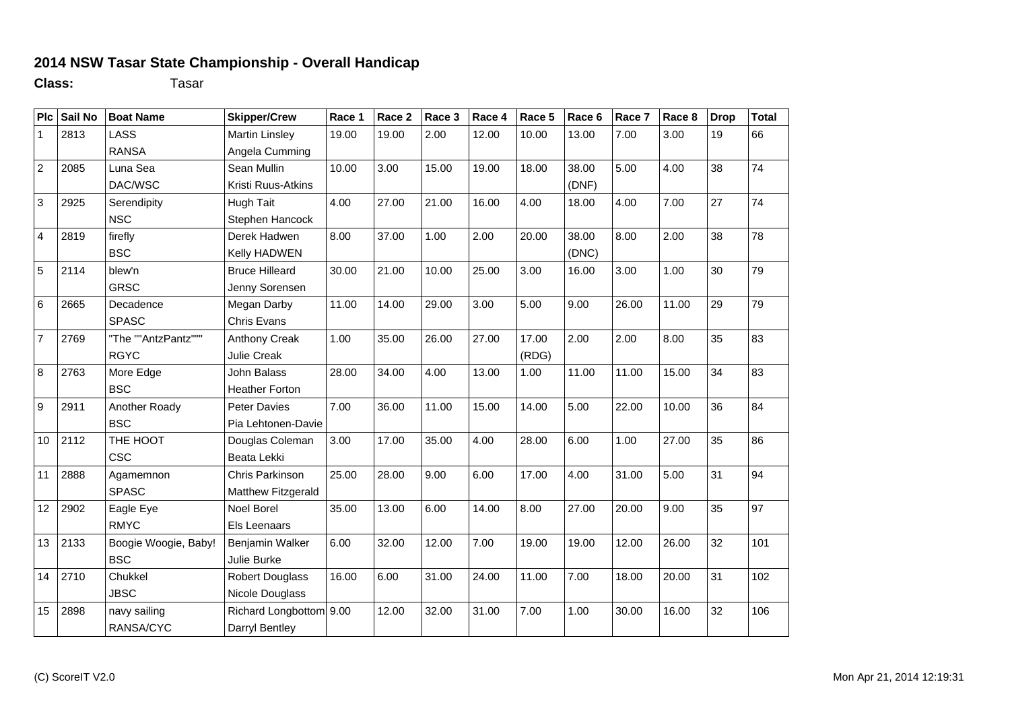## **2014 NSW Tasar State Championship - Overall Handicap**

**Class:** Tasar

| Plc                     | Sail No | <b>Boat Name</b>     | <b>Skipper/Crew</b>     | Race 1 | Race 2 | Race 3 | Race 4 | Race 5 | Race 6 | Race 7 | Race 8 | <b>Drop</b> | <b>Total</b> |
|-------------------------|---------|----------------------|-------------------------|--------|--------|--------|--------|--------|--------|--------|--------|-------------|--------------|
| $\mathbf{1}$            | 2813    | <b>LASS</b>          | <b>Martin Linsley</b>   | 19.00  | 19.00  | 2.00   | 12.00  | 10.00  | 13.00  | 7.00   | 3.00   | 19          | 66           |
|                         |         | <b>RANSA</b>         | Angela Cumming          |        |        |        |        |        |        |        |        |             |              |
| $\overline{2}$          | 2085    | Luna Sea             | Sean Mullin             | 10.00  | 3.00   | 15.00  | 19.00  | 18.00  | 38.00  | 5.00   | 4.00   | 38          | 74           |
|                         |         | DAC/WSC              | Kristi Ruus-Atkins      |        |        |        |        |        | (DNF)  |        |        |             |              |
| 3                       | 2925    | Serendipity          | <b>Hugh Tait</b>        | 4.00   | 27.00  | 21.00  | 16.00  | 4.00   | 18.00  | 4.00   | 7.00   | 27          | 74           |
|                         |         | <b>NSC</b>           | Stephen Hancock         |        |        |        |        |        |        |        |        |             |              |
| $\overline{\mathbf{4}}$ | 2819    | firefly              | Derek Hadwen            | 8.00   | 37.00  | 1.00   | 2.00   | 20.00  | 38.00  | 8.00   | 2.00   | 38          | 78           |
|                         |         | <b>BSC</b>           | Kelly HADWEN            |        |        |        |        |        | (DNC)  |        |        |             |              |
| 5                       | 2114    | blew'n               | <b>Bruce Hilleard</b>   | 30.00  | 21.00  | 10.00  | 25.00  | 3.00   | 16.00  | 3.00   | 1.00   | 30          | 79           |
|                         |         | <b>GRSC</b>          | Jenny Sorensen          |        |        |        |        |        |        |        |        |             |              |
| $6\phantom{1}$          | 2665    | Decadence            | Megan Darby             | 11.00  | 14.00  | 29.00  | 3.00   | 5.00   | 9.00   | 26.00  | 11.00  | 29          | 79           |
|                         |         | <b>SPASC</b>         | <b>Chris Evans</b>      |        |        |        |        |        |        |        |        |             |              |
| $\overline{7}$          | 2769    | "The ""AntzPantz"""  | Anthony Creak           | 1.00   | 35.00  | 26.00  | 27.00  | 17.00  | 2.00   | 2.00   | 8.00   | 35          | 83           |
|                         |         | <b>RGYC</b>          | Julie Creak             |        |        |        |        | (RDG)  |        |        |        |             |              |
| 8                       | 2763    | More Edge            | John Balass             | 28.00  | 34.00  | 4.00   | 13.00  | 1.00   | 11.00  | 11.00  | 15.00  | 34          | 83           |
|                         |         | <b>BSC</b>           | <b>Heather Forton</b>   |        |        |        |        |        |        |        |        |             |              |
| 9                       | 2911    | Another Roady        | <b>Peter Davies</b>     | 7.00   | 36.00  | 11.00  | 15.00  | 14.00  | 5.00   | 22.00  | 10.00  | 36          | 84           |
|                         |         | <b>BSC</b>           | Pia Lehtonen-Davie      |        |        |        |        |        |        |        |        |             |              |
| 10                      | 2112    | THE HOOT             | Douglas Coleman         | 3.00   | 17.00  | 35.00  | 4.00   | 28.00  | 6.00   | 1.00   | 27.00  | 35          | 86           |
|                         |         | <b>CSC</b>           | Beata Lekki             |        |        |        |        |        |        |        |        |             |              |
| 11                      | 2888    | Agamemnon            | Chris Parkinson         | 25.00  | 28.00  | 9.00   | 6.00   | 17.00  | 4.00   | 31.00  | 5.00   | 31          | 94           |
|                         |         | <b>SPASC</b>         | Matthew Fitzgerald      |        |        |        |        |        |        |        |        |             |              |
| 12                      | 2902    | Eagle Eye            | <b>Noel Borel</b>       | 35.00  | 13.00  | 6.00   | 14.00  | 8.00   | 27.00  | 20.00  | 9.00   | 35          | 97           |
|                         |         | <b>RMYC</b>          | Els Leenaars            |        |        |        |        |        |        |        |        |             |              |
| 13                      | 2133    | Boogie Woogie, Baby! | Benjamin Walker         | 6.00   | 32.00  | 12.00  | 7.00   | 19.00  | 19.00  | 12.00  | 26.00  | 32          | 101          |
|                         |         | <b>BSC</b>           | Julie Burke             |        |        |        |        |        |        |        |        |             |              |
| 14                      | 2710    | Chukkel              | <b>Robert Douglass</b>  | 16.00  | 6.00   | 31.00  | 24.00  | 11.00  | 7.00   | 18.00  | 20.00  | 31          | 102          |
|                         |         | <b>JBSC</b>          | Nicole Douglass         |        |        |        |        |        |        |        |        |             |              |
| 15                      | 2898    | navy sailing         | Richard Longbottom 9.00 |        | 12.00  | 32.00  | 31.00  | 7.00   | 1.00   | 30.00  | 16.00  | 32          | 106          |
|                         |         | RANSA/CYC            | Darryl Bentley          |        |        |        |        |        |        |        |        |             |              |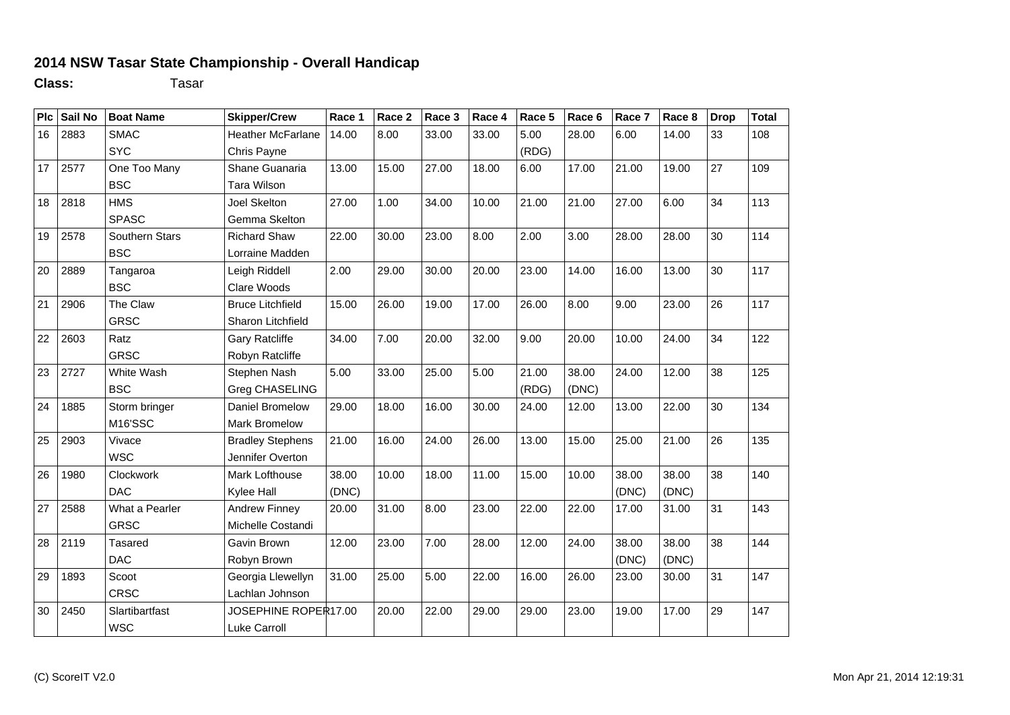## **2014 NSW Tasar State Championship - Overall Handicap**

**Class:** Tasar

| Plc | Sail No | <b>Boat Name</b> | <b>Skipper/Crew</b>      | Race 1 | Race 2 | Race 3 | Race 4 | Race 5 | Race 6 | Race 7 | Race 8 | <b>Drop</b> | <b>Total</b> |
|-----|---------|------------------|--------------------------|--------|--------|--------|--------|--------|--------|--------|--------|-------------|--------------|
| 16  | 2883    | <b>SMAC</b>      | <b>Heather McFarlane</b> | 14.00  | 8.00   | 33.00  | 33.00  | 5.00   | 28.00  | 6.00   | 14.00  | 33          | 108          |
|     |         | <b>SYC</b>       | Chris Payne              |        |        |        |        | (RDG)  |        |        |        |             |              |
| 17  | 2577    | One Too Many     | Shane Guanaria           | 13.00  | 15.00  | 27.00  | 18.00  | 6.00   | 17.00  | 21.00  | 19.00  | 27          | 109          |
|     |         | <b>BSC</b>       | Tara Wilson              |        |        |        |        |        |        |        |        |             |              |
| 18  | 2818    | <b>HMS</b>       | Joel Skelton             | 27.00  | 1.00   | 34.00  | 10.00  | 21.00  | 21.00  | 27.00  | 6.00   | 34          | 113          |
|     |         | <b>SPASC</b>     | Gemma Skelton            |        |        |        |        |        |        |        |        |             |              |
| 19  | 2578    | Southern Stars   | <b>Richard Shaw</b>      | 22.00  | 30.00  | 23.00  | 8.00   | 2.00   | 3.00   | 28.00  | 28.00  | 30          | 114          |
|     |         | <b>BSC</b>       | Lorraine Madden          |        |        |        |        |        |        |        |        |             |              |
| 20  | 2889    | Tangaroa         | Leigh Riddell            | 2.00   | 29.00  | 30.00  | 20.00  | 23.00  | 14.00  | 16.00  | 13.00  | 30          | 117          |
|     |         | <b>BSC</b>       | Clare Woods              |        |        |        |        |        |        |        |        |             |              |
| 21  | 2906    | The Claw         | <b>Bruce Litchfield</b>  | 15.00  | 26.00  | 19.00  | 17.00  | 26.00  | 8.00   | 9.00   | 23.00  | 26          | 117          |
|     |         | <b>GRSC</b>      | Sharon Litchfield        |        |        |        |        |        |        |        |        |             |              |
| 22  | 2603    | Ratz             | <b>Gary Ratcliffe</b>    | 34.00  | 7.00   | 20.00  | 32.00  | 9.00   | 20.00  | 10.00  | 24.00  | 34          | 122          |
|     |         | <b>GRSC</b>      | Robyn Ratcliffe          |        |        |        |        |        |        |        |        |             |              |
| 23  | 2727    | White Wash       | Stephen Nash             | 5.00   | 33.00  | 25.00  | 5.00   | 21.00  | 38.00  | 24.00  | 12.00  | 38          | 125          |
|     |         | <b>BSC</b>       | Greg CHASELING           |        |        |        |        | (RDG)  | (DNC)  |        |        |             |              |
| 24  | 1885    | Storm bringer    | Daniel Bromelow          | 29.00  | 18.00  | 16.00  | 30.00  | 24.00  | 12.00  | 13.00  | 22.00  | 30          | 134          |
|     |         | M16'SSC          | Mark Bromelow            |        |        |        |        |        |        |        |        |             |              |
| 25  | 2903    | Vivace           | <b>Bradley Stephens</b>  | 21.00  | 16.00  | 24.00  | 26.00  | 13.00  | 15.00  | 25.00  | 21.00  | 26          | 135          |
|     |         | <b>WSC</b>       | Jennifer Overton         |        |        |        |        |        |        |        |        |             |              |
| 26  | 1980    | Clockwork        | Mark Lofthouse           | 38.00  | 10.00  | 18.00  | 11.00  | 15.00  | 10.00  | 38.00  | 38.00  | 38          | 140          |
|     |         | <b>DAC</b>       | Kylee Hall               | (DNC)  |        |        |        |        |        | (DNC)  | (DNC)  |             |              |
| 27  | 2588    | What a Pearler   | <b>Andrew Finney</b>     | 20.00  | 31.00  | 8.00   | 23.00  | 22.00  | 22.00  | 17.00  | 31.00  | 31          | 143          |
|     |         | <b>GRSC</b>      | Michelle Costandi        |        |        |        |        |        |        |        |        |             |              |
| 28  | 2119    | <b>Tasared</b>   | Gavin Brown              | 12.00  | 23.00  | 7.00   | 28.00  | 12.00  | 24.00  | 38.00  | 38.00  | 38          | 144          |
|     |         | <b>DAC</b>       | Robyn Brown              |        |        |        |        |        |        | (DNC)  | (DNC)  |             |              |
| 29  | 1893    | Scoot            | Georgia Llewellyn        | 31.00  | 25.00  | 5.00   | 22.00  | 16.00  | 26.00  | 23.00  | 30.00  | 31          | 147          |
|     |         | <b>CRSC</b>      | Lachlan Johnson          |        |        |        |        |        |        |        |        |             |              |
| 30  | 2450    | Slartibartfast   | JOSEPHINE ROPER17.00     |        | 20.00  | 22.00  | 29.00  | 29.00  | 23.00  | 19.00  | 17.00  | 29          | 147          |
|     |         | <b>WSC</b>       | Luke Carroll             |        |        |        |        |        |        |        |        |             |              |